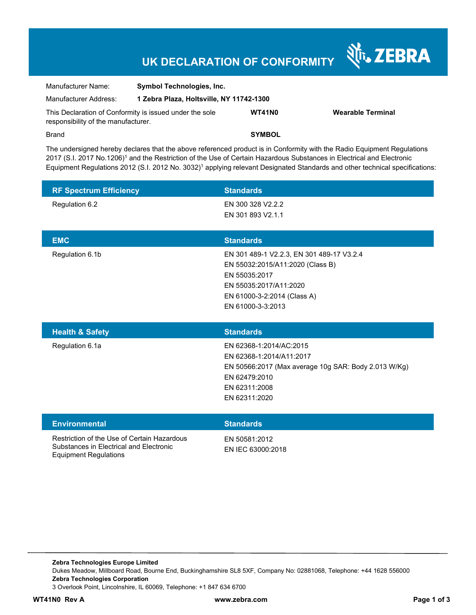## **UK DECLARATION OF CONFORMITY**

Nr. ZEBRA

| Manufacturer Name:                                                                             | <b>Symbol Technologies, Inc.</b>         |               |                   |
|------------------------------------------------------------------------------------------------|------------------------------------------|---------------|-------------------|
| Manufacturer Address:                                                                          | 1 Zebra Plaza, Holtsville, NY 11742-1300 |               |                   |
| This Declaration of Conformity is issued under the sole<br>responsibility of the manufacturer. |                                          | <b>WT41N0</b> | Wearable Terminal |
| <b>Brand</b>                                                                                   |                                          | <b>SYMBOL</b> |                   |

The undersigned hereby declares that the above referenced product is in Conformity with the Radio Equipment Regulations 2017 (S.I. 2017 No.1206)<sup>1</sup> and the Restriction of the Use of Certain Hazardous Substances in Electrical and Electronic Equipment Regulations 2012 (S.I. 2012 No. 3032)<sup>1</sup> applying relevant Designated Standards and other technical specifications:

| <b>RF Spectrum Efficiency</b> | <b>Standards</b>                                                                                                                                                             |
|-------------------------------|------------------------------------------------------------------------------------------------------------------------------------------------------------------------------|
| Regulation 6.2                | EN 300 328 V2.2.2<br>EN 301 893 V2.1.1                                                                                                                                       |
| <b>EMC</b>                    | <b>Standards</b>                                                                                                                                                             |
| Regulation 6.1b               | EN 301 489-1 V2.2.3, EN 301 489-17 V3.2.4<br>EN 55032:2015/A11:2020 (Class B)<br>EN 55035:2017<br>EN 55035:2017/A11:2020<br>EN 61000-3-2:2014 (Class A)<br>EN 61000-3-3:2013 |
| <b>Health &amp; Safety</b>    | <b>Standards</b>                                                                                                                                                             |
| Regulation 6.1a               | EN 62368-1:2014/AC:2015<br>EN 62368-1:2014/A11:2017<br>EN 50566:2017 (Max average 10g SAR: Body 2.013 W/Kg)<br>EN 62479:2010<br>EN 62311:2008<br>EN 62311:2020               |
| <b>Environmental</b>          | <b>Standards</b>                                                                                                                                                             |

Restriction of the Use of Certain Hazardous Substances in Electrical and Electronic Equipment Regulations

EN 50581:2012 EN IEC 63000:2018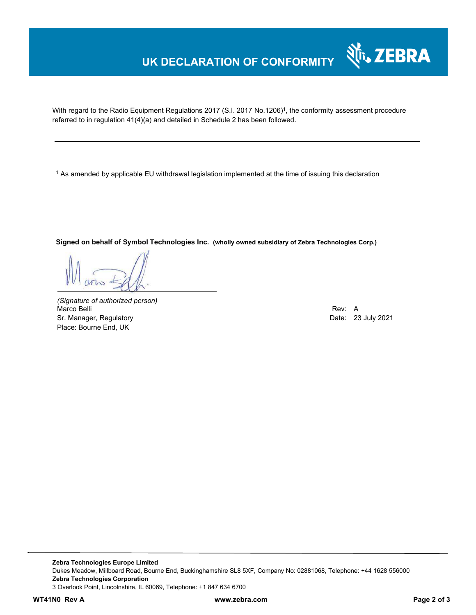## **UK DECLARATION OF CONFORMITY**

With regard to the Radio Equipment Regulations 2017 (S.I. 2017 No.1206)<sup>1</sup>, the conformity assessment procedure referred to in regulation 41(4)(a) and detailed in Schedule 2 has been followed.

 $^{\rm 1}$  As amended by applicable EU withdrawal legislation implemented at the time of issuing this declaration

**Signed on behalf of Symbol Technologies Inc. (wholly owned subsidiary of Zebra Technologies Corp.)**

*(Signature of authorized person)* Marco Belli Rev: A Alexander And The Control of the Control of the Control of the Control of the Control of the Control of the Control of the Control of the Control of the Control of the Control of the Control of the Contr Sr. Manager, Regulatory **Date: 23 July 2021** Place: Bourne End, UK

र्शे<sub>ि</sub> ZEBRA